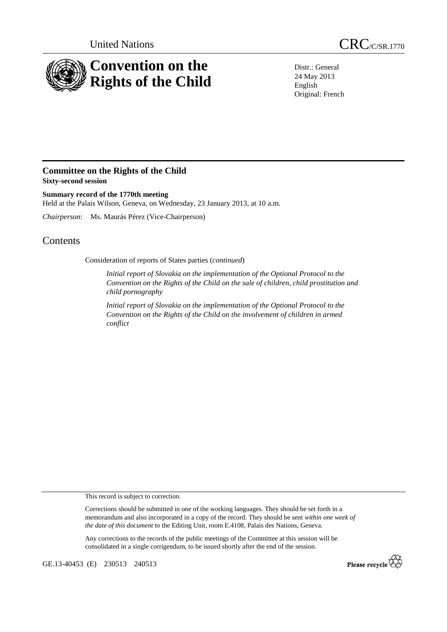

Distr.: General 24 May 2013 English Original: French

# **Committee on the Rights of the Child Sixty-second session**

**Summary record of the 1770th meeting**  Held at the Palais Wilson, Geneva, on Wednesday, 23 January 2013, at 10 a.m.

*Chairperson*: Ms. Maurás Pérez (Vice-Chairperson)

# **Contents**

Consideration of reports of States parties (*continued*)

*Initial report of Slovakia on the implementation of the Optional Protocol to the Convention on the Rights of the Child on the sale of children, child prostitution and child pornography* 

*Initial report of Slovakia on the implementation of the Optional Protocol to the Convention on the Rights of the Child on the involvement of children in armed conflict* 

This record is subject to correction.

Corrections should be submitted in one of the working languages. They should be set forth in a memorandum and also incorporated in a copy of the record. They should be sent *within one week of the date of this document* to the Editing Unit, room E.4108, Palais des Nations, Geneva.

Any corrections to the records of the public meetings of the Committee at this session will be consolidated in a single corrigendum, to be issued shortly after the end of the session.

GE.13-40453 (E) 230513 240513

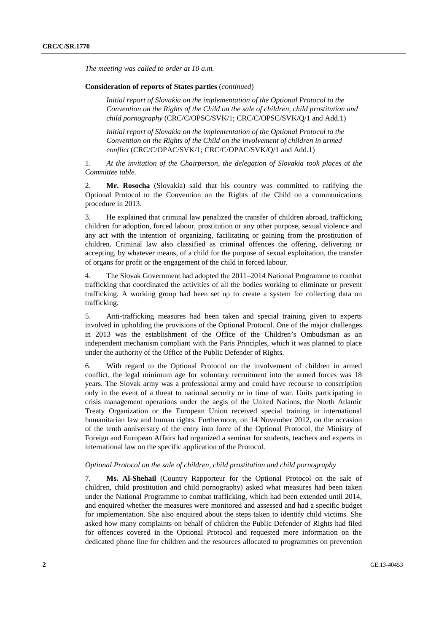*The meeting was called to order at 10 a.m.* 

## **Consideration of reports of States parties** (*continued*)

*Initial report of Slovakia on the implementation of the Optional Protocol to the Convention on the Rights of the Child on the sale of children, child prostitution and child pornography* (CRC/C/OPSC/SVK/1; CRC/C/OPSC/SVK/Q/1 and Add.1)

*Initial report of Slovakia on the implementation of the Optional Protocol to the Convention on the Rights of the Child on the involvement of children in armed conflict* (CRC/C/OPAC/SVK/1; CRC/C/OPAC/SVK/Q/1 and Add.1)

1. *At the invitation of the Chairperson, the delegation of Slovakia took places at the Committee table.*

2. **Mr. Rosocha** (Slovakia) said that his country was committed to ratifying the Optional Protocol to the Convention on the Rights of the Child on a communications procedure in 2013.

3. He explained that criminal law penalized the transfer of children abroad, trafficking children for adoption, forced labour, prostitution or any other purpose, sexual violence and any act with the intention of organizing, facilitating or gaining from the prostitution of children. Criminal law also classified as criminal offences the offering, delivering or accepting, by whatever means, of a child for the purpose of sexual exploitation, the transfer of organs for profit or the engagement of the child in forced labour.

4. The Slovak Government had adopted the 2011–2014 National Programme to combat trafficking that coordinated the activities of all the bodies working to eliminate or prevent trafficking. A working group had been set up to create a system for collecting data on trafficking.

5. Anti-trafficking measures had been taken and special training given to experts involved in upholding the provisions of the Optional Protocol. One of the major challenges in 2013 was the establishment of the Office of the Children's Ombudsman as an independent mechanism compliant with the Paris Principles, which it was planned to place under the authority of the Office of the Public Defender of Rights.

6. With regard to the Optional Protocol on the involvement of children in armed conflict, the legal minimum age for voluntary recruitment into the armed forces was 18 years. The Slovak army was a professional army and could have recourse to conscription only in the event of a threat to national security or in time of war. Units participating in crisis management operations under the aegis of the United Nations, the North Atlantic Treaty Organization or the European Union received special training in international humanitarian law and human rights. Furthermore, on 14 November 2012, on the occasion of the tenth anniversary of the entry into force of the Optional Protocol, the Ministry of Foreign and European Affairs had organized a seminar for students, teachers and experts in international law on the specific application of the Protocol.

### *Optional Protocol on the sale of children, child prostitution and child pornography*

7. **Ms. Al-Shehail** (Country Rapporteur for the Optional Protocol on the sale of children, child prostitution and child pornography) asked what measures had been taken under the National Programme to combat trafficking, which had been extended until 2014, and enquired whether the measures were monitored and assessed and had a specific budget for implementation. She also enquired about the steps taken to identify child victims. She asked how many complaints on behalf of children the Public Defender of Rights had filed for offences covered in the Optional Protocol and requested more information on the dedicated phone line for children and the resources allocated to programmes on prevention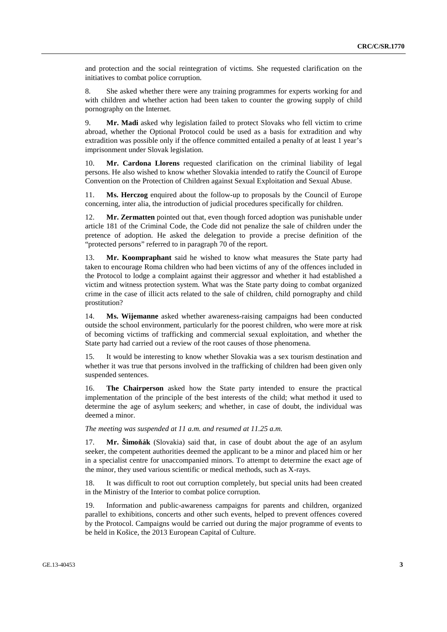and protection and the social reintegration of victims. She requested clarification on the initiatives to combat police corruption.

8. She asked whether there were any training programmes for experts working for and with children and whether action had been taken to counter the growing supply of child pornography on the Internet.

9. **Mr. Madi** asked why legislation failed to protect Slovaks who fell victim to crime abroad, whether the Optional Protocol could be used as a basis for extradition and why extradition was possible only if the offence committed entailed a penalty of at least 1 year's imprisonment under Slovak legislation.

10. **Mr. Cardona Llorens** requested clarification on the criminal liability of legal persons. He also wished to know whether Slovakia intended to ratify the Council of Europe Convention on the Protection of Children against Sexual Exploitation and Sexual Abuse.

11. **Ms. Herczog** enquired about the follow-up to proposals by the Council of Europe concerning, inter alia, the introduction of judicial procedures specifically for children.

12. **Mr. Zermatten** pointed out that, even though forced adoption was punishable under article 181 of the Criminal Code, the Code did not penalize the sale of children under the pretence of adoption. He asked the delegation to provide a precise definition of the "protected persons" referred to in paragraph 70 of the report.

13. **Mr. Koompraphant** said he wished to know what measures the State party had taken to encourage Roma children who had been victims of any of the offences included in the Protocol to lodge a complaint against their aggressor and whether it had established a victim and witness protection system. What was the State party doing to combat organized crime in the case of illicit acts related to the sale of children, child pornography and child prostitution?

14. **Ms. Wijemanne** asked whether awareness-raising campaigns had been conducted outside the school environment, particularly for the poorest children, who were more at risk of becoming victims of trafficking and commercial sexual exploitation, and whether the State party had carried out a review of the root causes of those phenomena.

15. It would be interesting to know whether Slovakia was a sex tourism destination and whether it was true that persons involved in the trafficking of children had been given only suspended sentences.

16. **The Chairperson** asked how the State party intended to ensure the practical implementation of the principle of the best interests of the child; what method it used to determine the age of asylum seekers; and whether, in case of doubt, the individual was deemed a minor.

*The meeting was suspended at 11 a.m. and resumed at 11.25 a.m.* 

17. **Mr. Šimoňák** (Slovakia) said that, in case of doubt about the age of an asylum seeker, the competent authorities deemed the applicant to be a minor and placed him or her in a specialist centre for unaccompanied minors. To attempt to determine the exact age of the minor, they used various scientific or medical methods, such as X-rays.

18. It was difficult to root out corruption completely, but special units had been created in the Ministry of the Interior to combat police corruption.

19. Information and public-awareness campaigns for parents and children, organized parallel to exhibitions, concerts and other such events, helped to prevent offences covered by the Protocol. Campaigns would be carried out during the major programme of events to be held in Košice, the 2013 European Capital of Culture.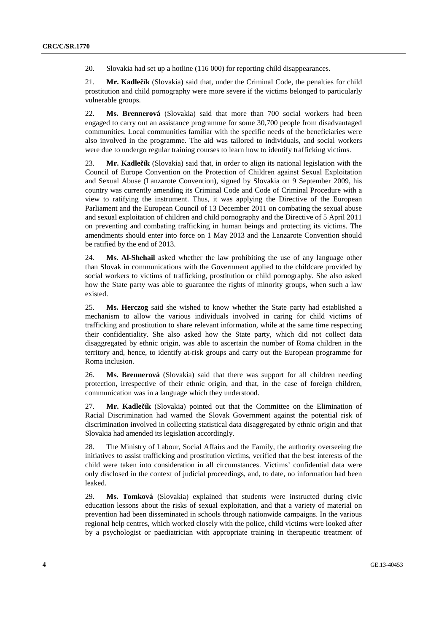20. Slovakia had set up a hotline (116 000) for reporting child disappearances.

21. **Mr. Kadlečík** (Slovakia) said that, under the Criminal Code, the penalties for child prostitution and child pornography were more severe if the victims belonged to particularly vulnerable groups.

22. **Ms. Brennerová** (Slovakia) said that more than 700 social workers had been engaged to carry out an assistance programme for some 30,700 people from disadvantaged communities. Local communities familiar with the specific needs of the beneficiaries were also involved in the programme. The aid was tailored to individuals, and social workers were due to undergo regular training courses to learn how to identify trafficking victims.

23. **Mr. Kadlečík** (Slovakia) said that, in order to align its national legislation with the Council of Europe Convention on the Protection of Children against Sexual Exploitation and Sexual Abuse (Lanzarote Convention), signed by Slovakia on 9 September 2009, his country was currently amending its Criminal Code and Code of Criminal Procedure with a view to ratifying the instrument. Thus, it was applying the Directive of the European Parliament and the European Council of 13 December 2011 on combating the sexual abuse and sexual exploitation of children and child pornography and the Directive of 5 April 2011 on preventing and combating trafficking in human beings and protecting its victims. The amendments should enter into force on 1 May 2013 and the Lanzarote Convention should be ratified by the end of 2013.

24. **Ms. Al-Shehail** asked whether the law prohibiting the use of any language other than Slovak in communications with the Government applied to the childcare provided by social workers to victims of trafficking, prostitution or child pornography. She also asked how the State party was able to guarantee the rights of minority groups, when such a law existed.

25. **Ms. Herczog** said she wished to know whether the State party had established a mechanism to allow the various individuals involved in caring for child victims of trafficking and prostitution to share relevant information, while at the same time respecting their confidentiality. She also asked how the State party, which did not collect data disaggregated by ethnic origin, was able to ascertain the number of Roma children in the territory and, hence, to identify at-risk groups and carry out the European programme for Roma inclusion.

26. **Ms. Brennerová** (Slovakia) said that there was support for all children needing protection, irrespective of their ethnic origin, and that, in the case of foreign children, communication was in a language which they understood.

27. **Mr. Kadlečík** (Slovakia) pointed out that the Committee on the Elimination of Racial Discrimination had warned the Slovak Government against the potential risk of discrimination involved in collecting statistical data disaggregated by ethnic origin and that Slovakia had amended its legislation accordingly.

28. The Ministry of Labour, Social Affairs and the Family, the authority overseeing the initiatives to assist trafficking and prostitution victims, verified that the best interests of the child were taken into consideration in all circumstances. Victims' confidential data were only disclosed in the context of judicial proceedings, and, to date, no information had been leaked.

29. **Ms. Tomková** (Slovakia) explained that students were instructed during civic education lessons about the risks of sexual exploitation, and that a variety of material on prevention had been disseminated in schools through nationwide campaigns. In the various regional help centres, which worked closely with the police, child victims were looked after by a psychologist or paediatrician with appropriate training in therapeutic treatment of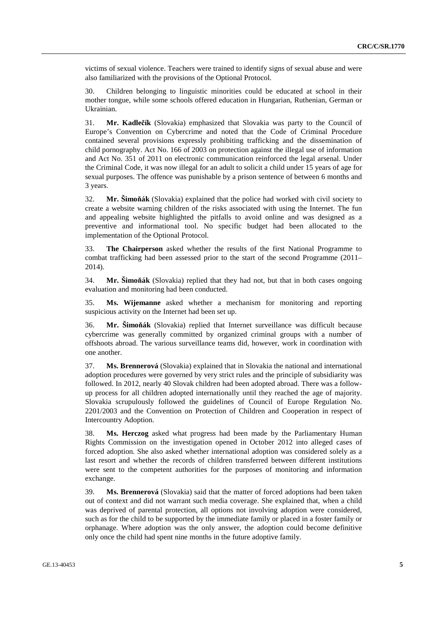victims of sexual violence. Teachers were trained to identify signs of sexual abuse and were also familiarized with the provisions of the Optional Protocol.

30. Children belonging to linguistic minorities could be educated at school in their mother tongue, while some schools offered education in Hungarian, Ruthenian, German or Ukrainian.

31. **Mr. Kadlečík** (Slovakia) emphasized that Slovakia was party to the Council of Europe's Convention on Cybercrime and noted that the Code of Criminal Procedure contained several provisions expressly prohibiting trafficking and the dissemination of child pornography. Act No. 166 of 2003 on protection against the illegal use of information and Act No. 351 of 2011 on electronic communication reinforced the legal arsenal. Under the Criminal Code, it was now illegal for an adult to solicit a child under 15 years of age for sexual purposes. The offence was punishable by a prison sentence of between 6 months and 3 years.

32. **Mr. Šimoňák** (Slovakia) explained that the police had worked with civil society to create a website warning children of the risks associated with using the Internet. The fun and appealing website highlighted the pitfalls to avoid online and was designed as a preventive and informational tool. No specific budget had been allocated to the implementation of the Optional Protocol.

33. **The Chairperson** asked whether the results of the first National Programme to combat trafficking had been assessed prior to the start of the second Programme (2011– 2014).

34. **Mr. Šimoňák** (Slovakia) replied that they had not, but that in both cases ongoing evaluation and monitoring had been conducted.

35. **Ms. Wijemanne** asked whether a mechanism for monitoring and reporting suspicious activity on the Internet had been set up.

36. **Mr. Šimoňák** (Slovakia) replied that Internet surveillance was difficult because cybercrime was generally committed by organized criminal groups with a number of offshoots abroad. The various surveillance teams did, however, work in coordination with one another.

37. **Ms. Brennerová** (Slovakia) explained that in Slovakia the national and international adoption procedures were governed by very strict rules and the principle of subsidiarity was followed. In 2012, nearly 40 Slovak children had been adopted abroad. There was a followup process for all children adopted internationally until they reached the age of majority. Slovakia scrupulously followed the guidelines of Council of Europe Regulation No. 2201/2003 and the Convention on Protection of Children and Cooperation in respect of Intercountry Adoption.

38. **Ms. Herczog** asked what progress had been made by the Parliamentary Human Rights Commission on the investigation opened in October 2012 into alleged cases of forced adoption. She also asked whether international adoption was considered solely as a last resort and whether the records of children transferred between different institutions were sent to the competent authorities for the purposes of monitoring and information exchange.

39. **Ms. Brennerová** (Slovakia) said that the matter of forced adoptions had been taken out of context and did not warrant such media coverage. She explained that, when a child was deprived of parental protection, all options not involving adoption were considered, such as for the child to be supported by the immediate family or placed in a foster family or orphanage. Where adoption was the only answer, the adoption could become definitive only once the child had spent nine months in the future adoptive family.